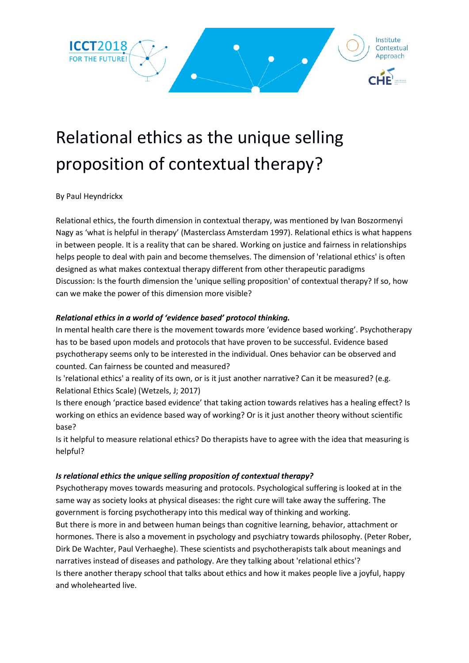

# Relational ethics as the unique selling proposition of contextual therapy?

#### By Paul Heyndrickx

Relational ethics, the fourth dimension in contextual therapy, was mentioned by Ivan Boszormenyi Nagy as 'what is helpful in therapy' (Masterclass Amsterdam 1997). Relational ethics is what happens in between people. It is a reality that can be shared. Working on justice and fairness in relationships helps people to deal with pain and become themselves. The dimension of 'relational ethics' is often designed as what makes contextual therapy different from other therapeutic paradigms Discussion: Is the fourth dimension the 'unique selling proposition' of contextual therapy? If so, how can we make the power of this dimension more visible?

#### *Relational ethics in a world of 'evidence based' protocol thinking.*

In mental health care there is the movement towards more 'evidence based working'. Psychotherapy has to be based upon models and protocols that have proven to be successful. Evidence based psychotherapy seems only to be interested in the individual. Ones behavior can be observed and counted. Can fairness be counted and measured?

Is 'relational ethics' a reality of its own, or is it just another narrative? Can it be measured? (e.g. Relational Ethics Scale) (Wetzels, J; 2017)

Is there enough 'practice based evidence' that taking action towards relatives has a healing effect? Is working on ethics an evidence based way of working? Or is it just another theory without scientific base?

Is it helpful to measure relational ethics? Do therapists have to agree with the idea that measuring is helpful?

## *Is relational ethics the unique selling proposition of contextual therapy?*

Psychotherapy moves towards measuring and protocols. Psychological suffering is looked at in the same way as society looks at physical diseases: the right cure will take away the suffering. The government is forcing psychotherapy into this medical way of thinking and working. But there is more in and between human beings than cognitive learning, behavior, attachment or hormones. There is also a movement in psychology and psychiatry towards philosophy. (Peter Rober, Dirk De Wachter, Paul Verhaeghe). These scientists and psychotherapists talk about meanings and narratives instead of diseases and pathology. Are they talking about 'relational ethics'? Is there another therapy school that talks about ethics and how it makes people live a joyful, happy and wholehearted live.